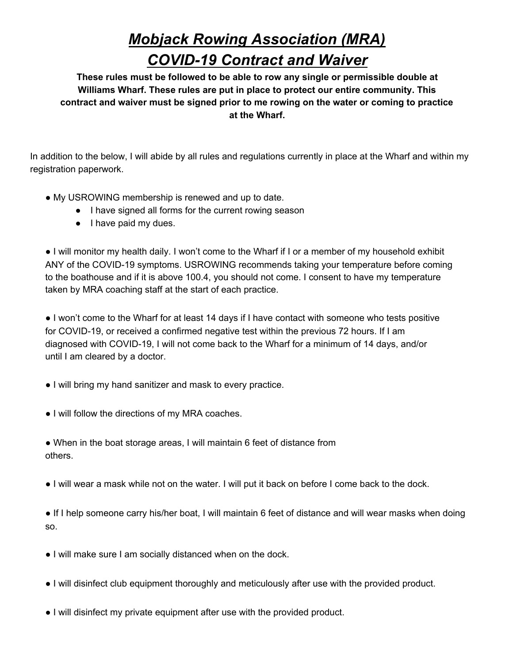## *Mobjack Rowing Association (MRA) COVID-19 Contract and Waiver*

**These rules must be followed to be able to row any single or permissible double at Williams Wharf. These rules are put in place to protect our entire community. This contract and waiver must be signed prior to me rowing on the water or coming to practice at the Wharf.**

In addition to the below, I will abide by all rules and regulations currently in place at the Wharf and within my registration paperwork.

- My USROWING membership is renewed and up to date.
	- I have signed all forms for the current rowing season
	- I have paid my dues.

● I will monitor my health daily. I won't come to the Wharf if I or a member of my household exhibit ANY of the COVID-19 symptoms. USROWING recommends taking your temperature before coming to the boathouse and if it is above 100.4, you should not come. I consent to have my temperature taken by MRA coaching staff at the start of each practice.

● I won't come to the Wharf for at least 14 days if I have contact with someone who tests positive for COVID-19, or received a confirmed negative test within the previous 72 hours. If I am diagnosed with COVID-19, I will not come back to the Wharf for a minimum of 14 days, and/or until I am cleared by a doctor.

- I will bring my hand sanitizer and mask to every practice.
- I will follow the directions of my MRA coaches.
- When in the boat storage areas, I will maintain 6 feet of distance from others.
- I will wear a mask while not on the water. I will put it back on before I come back to the dock.

● If I help someone carry his/her boat, I will maintain 6 feet of distance and will wear masks when doing so.

- I will make sure I am socially distanced when on the dock.
- I will disinfect club equipment thoroughly and meticulously after use with the provided product.
- I will disinfect my private equipment after use with the provided product.